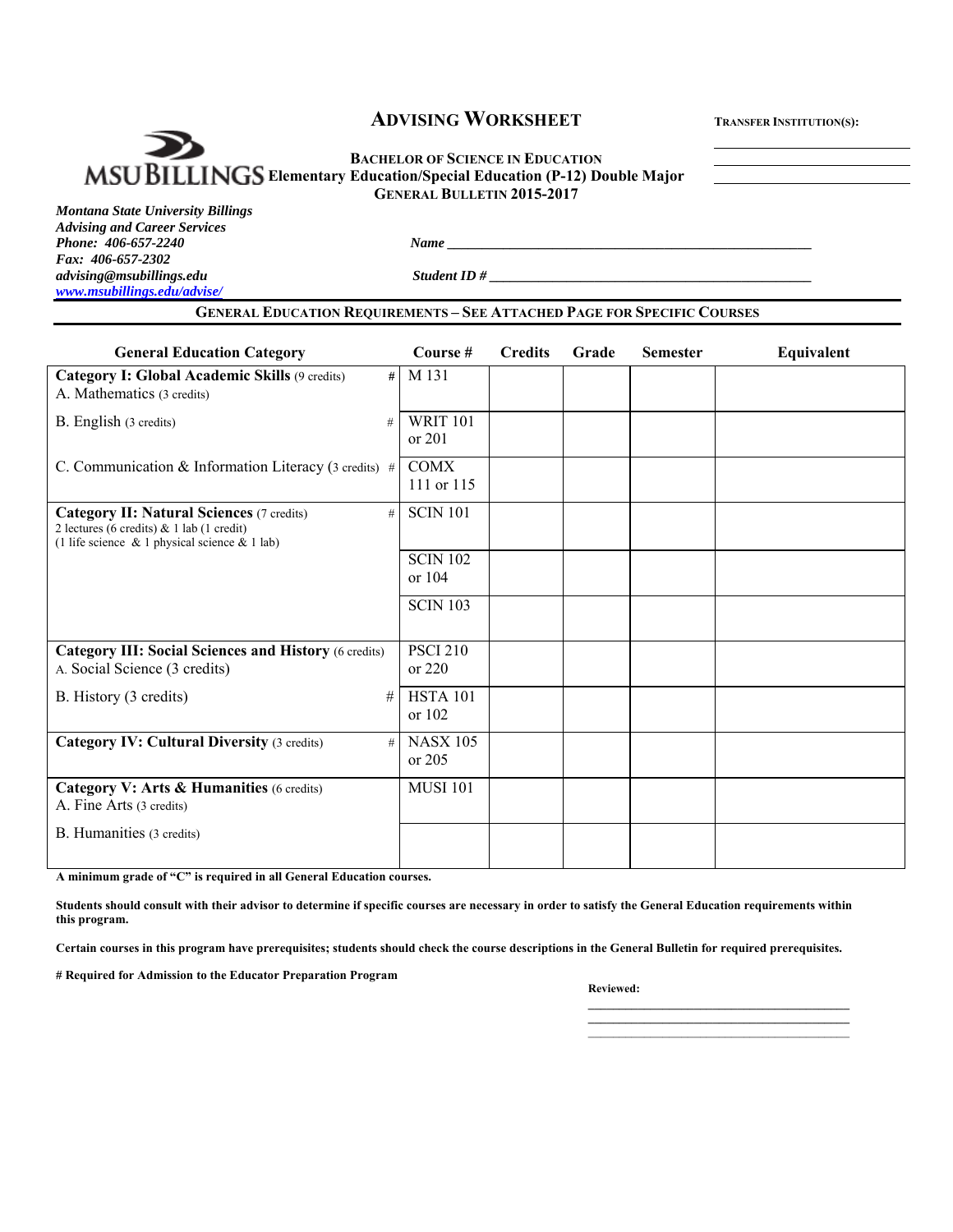# **ADVISING WORKSHEET TRANSFER INSTITUTION(S):**

**BACHELOR OF SCIENCE IN EDUCATION MSUBILLINGS** Elementary Education/Special Education (P-12) Double Major **GENERAL BULLETIN 2015-2017**

*Phone: 406-657-2240 Name \_\_\_\_\_\_\_\_\_\_\_\_\_\_\_\_\_\_\_\_\_\_\_\_\_\_\_\_\_\_\_\_\_\_\_\_\_\_\_\_\_\_\_\_\_\_\_\_\_\_\_\_* 

*Montana State University Billings Advising and Career Services Fax: 406-657-2302*   $advising@msubillings.edu$   $\hspace{2cm} \hspace{2cm} \hspace{2cm} \hspace{2cm} \hspace{2cm} \hspace{2cm} \hspace{2cm} \hspace{2cm} \hspace{2cm} \hspace{2cm} \hspace{2cm} \hspace{2cm} \hspace{2cm} \hspace{2cm} \hspace{2cm} \hspace{2cm} \hspace{2cm} \hspace{2cm} \hspace{2cm} \hspace{2cm} \hspace{2cm} \hspace{2cm} \hspace{2cm} \hspace{2cm} \hspace{2cm} \hspace{2cm} \hspace{2cm} \hspace{2cm} \hspace{2cm} \hspace{2cm}$ *www.msubillings.edu/advise/* 

#### **GENERAL EDUCATION REQUIREMENTS – SEE ATTACHED PAGE FOR SPECIFIC COURSES**

| <b>General Education Category</b>                                                                                                                         | Course #                    | <b>Credits</b> | Grade | <b>Semester</b> | Equivalent |
|-----------------------------------------------------------------------------------------------------------------------------------------------------------|-----------------------------|----------------|-------|-----------------|------------|
| Category I: Global Academic Skills (9 credits)<br>#<br>A. Mathematics (3 credits)                                                                         | M 131                       |                |       |                 |            |
| B. English (3 credits)<br>#                                                                                                                               | <b>WRIT 101</b><br>or 201   |                |       |                 |            |
| C. Communication & Information Literacy (3 credits) #                                                                                                     | <b>COMX</b><br>111 or 115   |                |       |                 |            |
| <b>Category II: Natural Sciences (7 credits)</b><br>#<br>2 lectures (6 credits) & 1 lab (1 credit)<br>(1 life science $\&$ 1 physical science $\&$ 1 lab) | <b>SCIN 101</b>             |                |       |                 |            |
|                                                                                                                                                           | <b>SCIN 102</b><br>or $104$ |                |       |                 |            |
|                                                                                                                                                           | <b>SCIN 103</b>             |                |       |                 |            |
| <b>Category III: Social Sciences and History (6 credits)</b><br>A. Social Science (3 credits)                                                             | <b>PSCI 210</b><br>or 220   |                |       |                 |            |
| B. History (3 credits)<br>#                                                                                                                               | <b>HSTA 101</b><br>or 102   |                |       |                 |            |
| <b>Category IV: Cultural Diversity (3 credits)</b><br>#                                                                                                   | <b>NASX 105</b><br>or $205$ |                |       |                 |            |
| Category V: Arts & Humanities (6 credits)<br>A. Fine Arts (3 credits)                                                                                     | <b>MUSI 101</b>             |                |       |                 |            |
| B. Humanities (3 credits)                                                                                                                                 |                             |                |       |                 |            |

**A minimum grade of "C" is required in all General Education courses.** 

**Students should consult with their advisor to determine if specific courses are necessary in order to satisfy the General Education requirements within this program.** 

**Certain courses in this program have prerequisites; students should check the course descriptions in the General Bulletin for required prerequisites.** 

**# Required for Admission to the Educator Preparation Program** 

#### *Reviewed: Reviewed:*

**\_\_\_\_\_\_\_\_\_\_\_\_\_\_\_\_\_\_\_\_\_\_\_\_\_\_\_\_\_\_\_\_\_\_\_\_\_\_\_\_\_\_** 

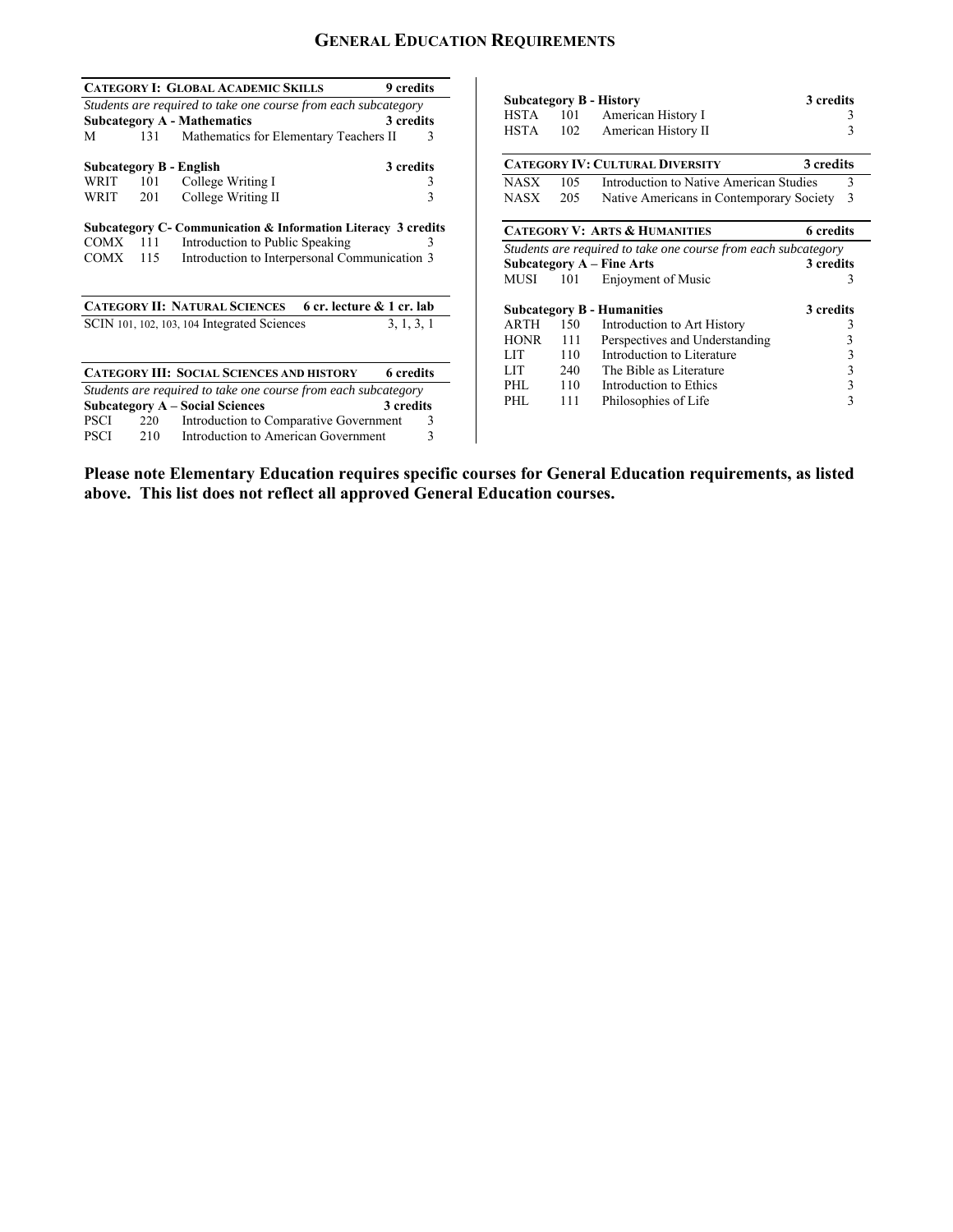# **GENERAL EDUCATION REQUIREMENTS**

|                                                                     |            | <b>CATEGORY I: GLOBAL ACADEMIC SKILLS</b>                                     | 9 credits |             |                             |                                                                |           |
|---------------------------------------------------------------------|------------|-------------------------------------------------------------------------------|-----------|-------------|-----------------------------|----------------------------------------------------------------|-----------|
|                                                                     |            | Students are required to take one course from each subcategory                |           |             |                             | <b>Subcategory B - History</b>                                 | 3 credits |
|                                                                     |            | <b>Subcategory A - Mathematics</b>                                            | 3 credits | HSTA        | 101                         | American History I                                             |           |
| M                                                                   | 131        | Mathematics for Elementary Teachers II                                        | 3         | <b>HSTA</b> | 102                         | American History II                                            |           |
|                                                                     |            | <b>Subcategory B - English</b>                                                | 3 credits |             |                             | <b>CATEGORY IV: CULTURAL DIVERSITY</b>                         | 3 credits |
| WRIT                                                                | 101        | College Writing I                                                             |           | <b>NASX</b> | 105                         | Introduction to Native American Studies                        |           |
| WRIT                                                                | 201        | College Writing II                                                            | 3         | <b>NASX</b> | 205                         | Native Americans in Contemporary Society                       | 3         |
|                                                                     |            | Subcategory C- Communication & Information Literacy 3 credits                 |           |             |                             | <b>CATEGORY V: ARTS &amp; HUMANITIES</b>                       | 6 credits |
| COMX                                                                | 111        | Introduction to Public Speaking                                               |           |             |                             | Students are required to take one course from each subcategory |           |
| Introduction to Interpersonal Communication 3<br><b>COMX</b><br>115 |            |                                                                               |           |             |                             | <b>Subcategory A – Fine Arts</b>                               | 3 credits |
|                                                                     |            |                                                                               |           | MUSI        | 101                         | Enjoyment of Music                                             |           |
|                                                                     |            | CATEGORY II: NATURAL SCIENCES 6 cr. lecture & 1 cr. lab                       |           |             |                             | <b>Subcategory B - Humanities</b>                              | 3 credits |
| SCIN 101, 102, 103, 104 Integrated Sciences                         |            | 3, 1, 3, 1                                                                    | ARTH      | 150         | Introduction to Art History |                                                                |           |
|                                                                     |            |                                                                               |           | <b>HONR</b> | 111                         | Perspectives and Understanding                                 |           |
|                                                                     |            |                                                                               |           | <b>LIT</b>  | 110                         | Introduction to Literature                                     |           |
|                                                                     |            | <b>CATEGORY III: SOCIAL SCIENCES AND HISTORY</b>                              | 6 credits | <b>LIT</b>  | 240                         | The Bible as Literature                                        |           |
|                                                                     |            | Students are required to take one course from each subcategory                |           | PHL         | 110                         | Introduction to Ethics                                         |           |
|                                                                     |            | <b>Subcategory A - Social Sciences</b>                                        | 3 credits | PHL         | 111                         | Philosophies of Life                                           |           |
|                                                                     |            |                                                                               |           |             |                             |                                                                |           |
|                                                                     |            |                                                                               |           |             |                             |                                                                |           |
| PSCI<br><b>PSCI</b>                                                 | 220<br>210 | Introduction to Comparative Government<br>Introduction to American Government | 3<br>3    |             |                             |                                                                |           |

**Please note Elementary Education requires specific courses for General Education requirements, as listed above. This list does not reflect all approved General Education courses.**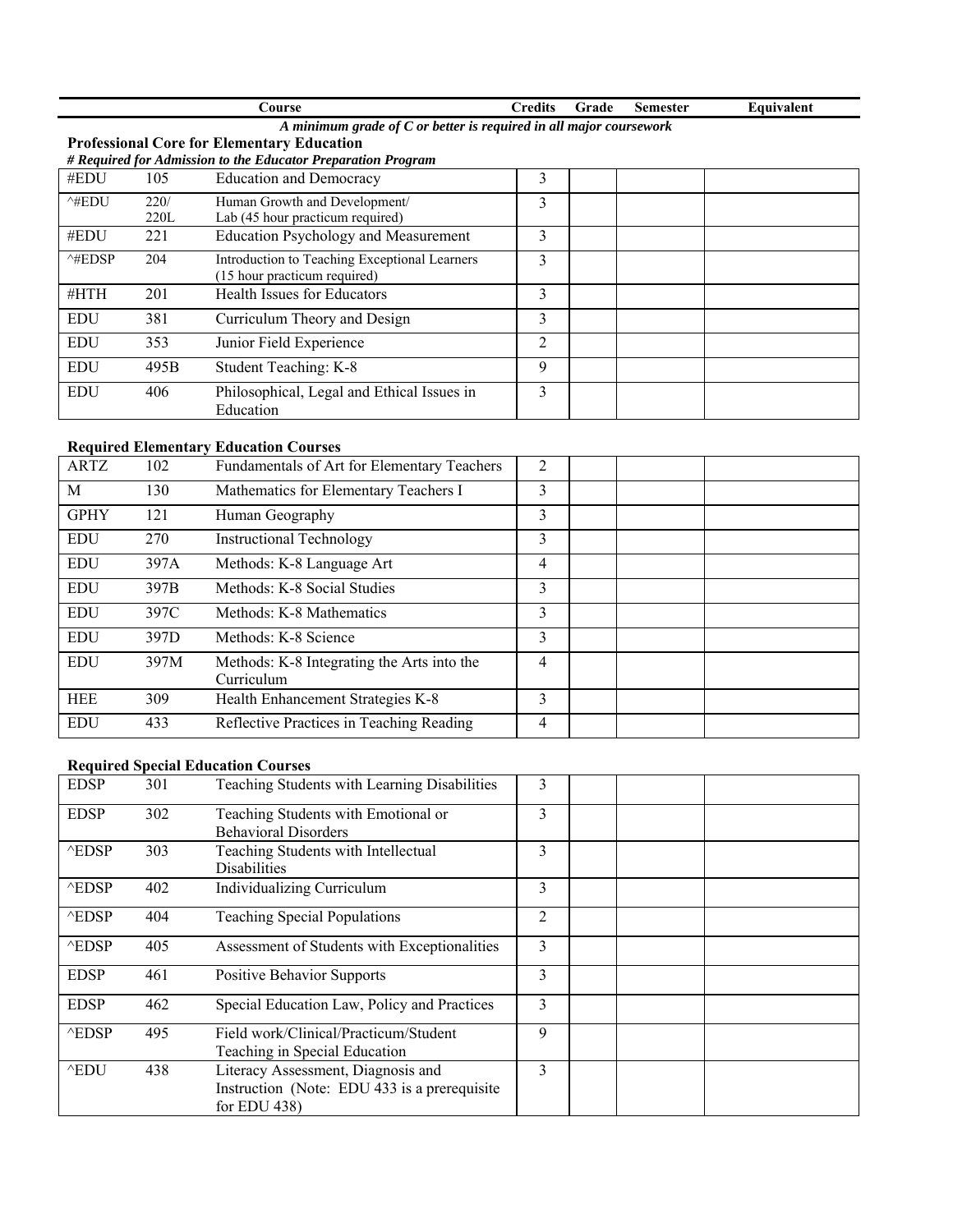|                   |                                                                      | Course                                        | <b>Credits</b> | Grade | <b>Semester</b> | Equivalent |  |  |
|-------------------|----------------------------------------------------------------------|-----------------------------------------------|----------------|-------|-----------------|------------|--|--|
|                   | A minimum grade of $C$ or better is required in all major coursework |                                               |                |       |                 |            |  |  |
|                   | <b>Professional Core for Elementary Education</b>                    |                                               |                |       |                 |            |  |  |
|                   | # Required for Admission to the Educator Preparation Program         |                                               |                |       |                 |            |  |  |
| #EDU              | 105                                                                  | <b>Education and Democracy</b>                | 3              |       |                 |            |  |  |
| $^{\wedge\#EDU}$  | 220/                                                                 | Human Growth and Development/                 | 3              |       |                 |            |  |  |
|                   | 220L                                                                 | Lab (45 hour practicum required)              |                |       |                 |            |  |  |
| #EDU              | 221                                                                  | <b>Education Psychology and Measurement</b>   | 3              |       |                 |            |  |  |
| $^{\wedge}$ #EDSP | 204                                                                  | Introduction to Teaching Exceptional Learners | 3              |       |                 |            |  |  |
|                   |                                                                      | (15 hour practicum required)                  |                |       |                 |            |  |  |
| #HTH              | 201                                                                  | Health Issues for Educators                   | 3              |       |                 |            |  |  |
| <b>EDU</b>        | 381                                                                  | Curriculum Theory and Design                  | 3              |       |                 |            |  |  |
| <b>EDU</b>        | 353                                                                  | Junior Field Experience                       | $\overline{c}$ |       |                 |            |  |  |
| <b>EDU</b>        | 495B                                                                 | Student Teaching: K-8                         | 9              |       |                 |            |  |  |
| <b>EDU</b>        | 406                                                                  | Philosophical, Legal and Ethical Issues in    | 3              |       |                 |            |  |  |
|                   |                                                                      | Education                                     |                |       |                 |            |  |  |

# **Required Elementary Education Courses**

| ARTZ        | 102  | Fundamentals of Art for Elementary Teachers              | 2 |  |  |
|-------------|------|----------------------------------------------------------|---|--|--|
| M           | 130  | Mathematics for Elementary Teachers I                    | 3 |  |  |
| <b>GPHY</b> | 121  | Human Geography                                          | 3 |  |  |
| EDU         | 270  | <b>Instructional Technology</b>                          | 3 |  |  |
| EDU         | 397A | Methods: K-8 Language Art                                | 4 |  |  |
| <b>EDU</b>  | 397B | Methods: K-8 Social Studies                              | 3 |  |  |
| EDU         | 397C | Methods: K-8 Mathematics                                 | 3 |  |  |
| EDU         | 397D | Methods: K-8 Science                                     | 3 |  |  |
| EDU         | 397M | Methods: K-8 Integrating the Arts into the<br>Curriculum | 4 |  |  |
| <b>HEE</b>  | 309  | Health Enhancement Strategies K-8                        | 3 |  |  |
| <b>EDU</b>  | 433  | Reflective Practices in Teaching Reading                 | 4 |  |  |

## **Required Special Education Courses**

| <b>EDSP</b>      | 301 | Teaching Students with Learning Disabilities                                                          | 3 |  |
|------------------|-----|-------------------------------------------------------------------------------------------------------|---|--|
| <b>EDSP</b>      | 302 | Teaching Students with Emotional or<br><b>Behavioral Disorders</b>                                    | 3 |  |
| $^{\wedge}$ EDSP | 303 | Teaching Students with Intellectual<br>Disabilities                                                   | 3 |  |
| $^{\wedge}$ EDSP | 402 | Individualizing Curriculum                                                                            | 3 |  |
| $\wedge$ EDSP    | 404 | <b>Teaching Special Populations</b>                                                                   | 2 |  |
| $\wedge$ EDSP    | 405 | Assessment of Students with Exceptionalities                                                          | 3 |  |
| <b>EDSP</b>      | 461 | <b>Positive Behavior Supports</b>                                                                     | 3 |  |
| <b>EDSP</b>      | 462 | Special Education Law, Policy and Practices                                                           | 3 |  |
| $\wedge$ EDSP    | 495 | Field work/Clinical/Practicum/Student<br>Teaching in Special Education                                | 9 |  |
| $^{\wedge}$ EDU  | 438 | Literacy Assessment, Diagnosis and<br>Instruction (Note: EDU 433 is a prerequisite<br>for EDU $438$ ) | 3 |  |